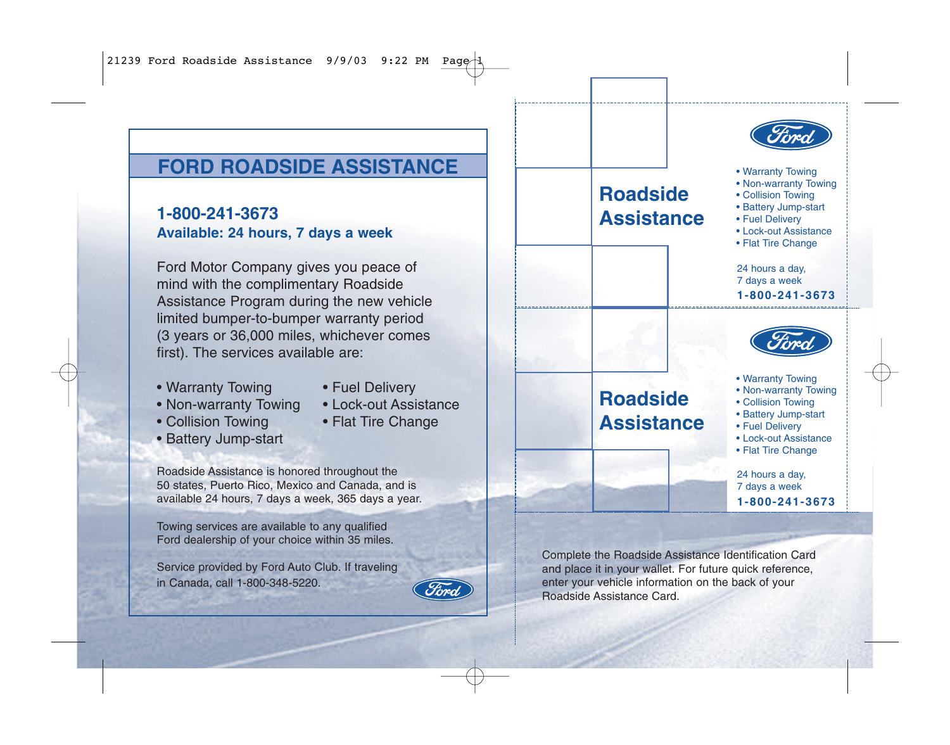# **FORD ROADSIDE ASSISTANCE**

**1-800-241-3673 Available: 24 hours, 7 days a week**

Ford Motor Company gives you peace of mind with the complimentary Roadside Assistance Program during the new vehicle limited bumper-to-bumper warranty period (3 years or 36,000 miles, whichever comes first). The services available are:

• Warranty Towing

• Collision Towing • Battery Jump-start

- Non-warranty Towing
- Lock-out Assistance

• Fuel Delivery

• Flat Tire Change

Roadside Assistance is honored throughout the 50 states, Puerto Rico, Mexico and Canada, and is available 24 hours, 7 days a week, 365 days a year.

Towing services are available to any qualified Ford dealership of your choice within 35 miles.

Service provided by Ford Auto Club. If traveling in Canada, call 1-800-348-5220.



## **Roadside Assistance Roadside Assistance** Complete the Roadside Assistance Identification Card 24 hours a day, 7 days a week **1-800-241-3673** 24 hours a day, 7 days a week **1-800-241-3673** • Warranty Towing • Non-warranty Towing • Collision Towing • Battery Jump-start • Fuel Delivery • Lock-out Assistance • Flat Tire Change • Warranty Towing • Non-warranty Towing • Collision Towing • Battery Jump-start • Fuel Delivery • Lock-out Assistance • Flat Tire Change

and place it in your wallet. For future quick reference, enter your vehicle information on the back of your Roadside Assistance Card.